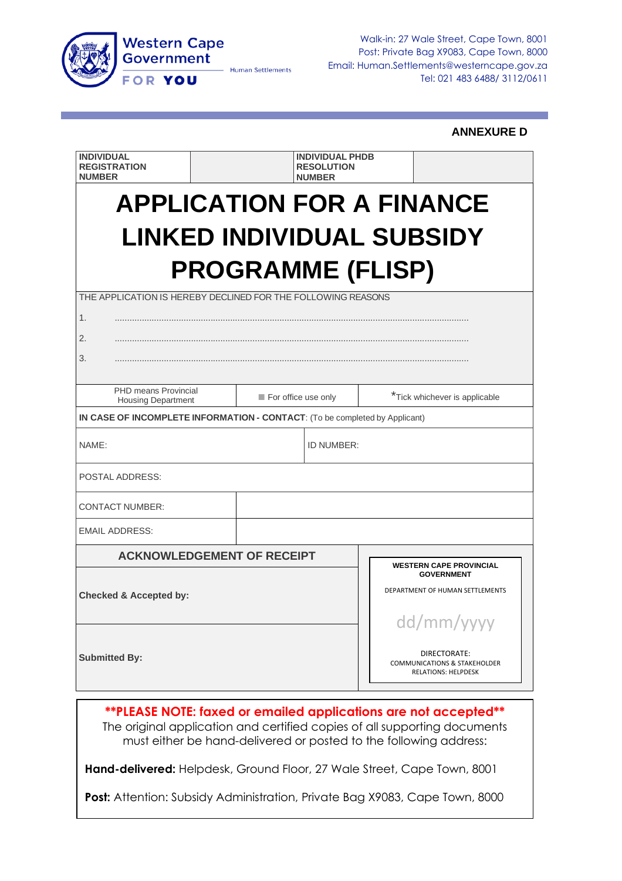

Walk-in: 27 Wale Street, Cape Town, 8001 Post: Private Bag X9083, Cape Town, 8000 Email: Human.Settlements@westerncape.gov.za Tel: 021 483 6488/ 3112/0611

#### **ANNEXURE D**

| <b>INDIVIDUAL</b><br><b>REGISTRATION</b><br><b>NUMBER</b>                                        |                                                                                | <b>INDIVIDUAL PHDB</b><br><b>RESOLUTION</b><br><b>NUMBER</b> |                                |  |  |  |  |  |
|--------------------------------------------------------------------------------------------------|--------------------------------------------------------------------------------|--------------------------------------------------------------|--------------------------------|--|--|--|--|--|
| <b>APPLICATION FOR A FINANCE</b><br><b>LINKED INDIVIDUAL SUBSIDY</b><br><b>PROGRAMME (FLISP)</b> |                                                                                |                                                              |                                |  |  |  |  |  |
| THE APPLICATION IS HEREBY DECLINED FOR THE FOLLOWING REASONS<br>1.<br>2.<br>3.                   |                                                                                |                                                              |                                |  |  |  |  |  |
| <b>PHD means Provincial</b><br><b>Housing Department</b>                                         |                                                                                | For office use only                                          | *Tick whichever is applicable  |  |  |  |  |  |
| IN CASE OF INCOMPLETE INFORMATION - CONTACT: (To be completed by Applicant)                      |                                                                                |                                                              |                                |  |  |  |  |  |
| NAME:                                                                                            |                                                                                | ID NUMBER:                                                   |                                |  |  |  |  |  |
| <b>POSTAL ADDRESS:</b>                                                                           |                                                                                |                                                              |                                |  |  |  |  |  |
| <b>CONTACT NUMBER:</b>                                                                           |                                                                                |                                                              |                                |  |  |  |  |  |
| <b>EMAIL ADDRESS:</b>                                                                            |                                                                                |                                                              |                                |  |  |  |  |  |
| <b>ACKNOWLEDGEMENT OF RECEIPT</b>                                                                |                                                                                |                                                              | <b>WESTERN CAPE PROVINCIAL</b> |  |  |  |  |  |
| <b>Checked &amp; Accepted by:</b>                                                                | <b>GOVERNMENT</b><br>DEPARTMENT OF HUMAN SETTLEMENTS<br>dd/mm/yyyy             |                                                              |                                |  |  |  |  |  |
| <b>Submitted By:</b>                                                                             | DIRECTORATE:<br><b>COMMUNICATIONS &amp; STAKEHOLDER</b><br>RELATIONS: HELPDESK |                                                              |                                |  |  |  |  |  |

**\*\*PLEASE NOTE: faxed or emailed applications are not accepted\*\*** The original application and certified copies of all supporting documents must either be hand-delivered or posted to the following address:

**Hand-delivered:** Helpdesk, Ground Floor, 27 Wale Street, Cape Town, 8001

**Post:** Attention: Subsidy Administration, Private Bag X9083, Cape Town, 8000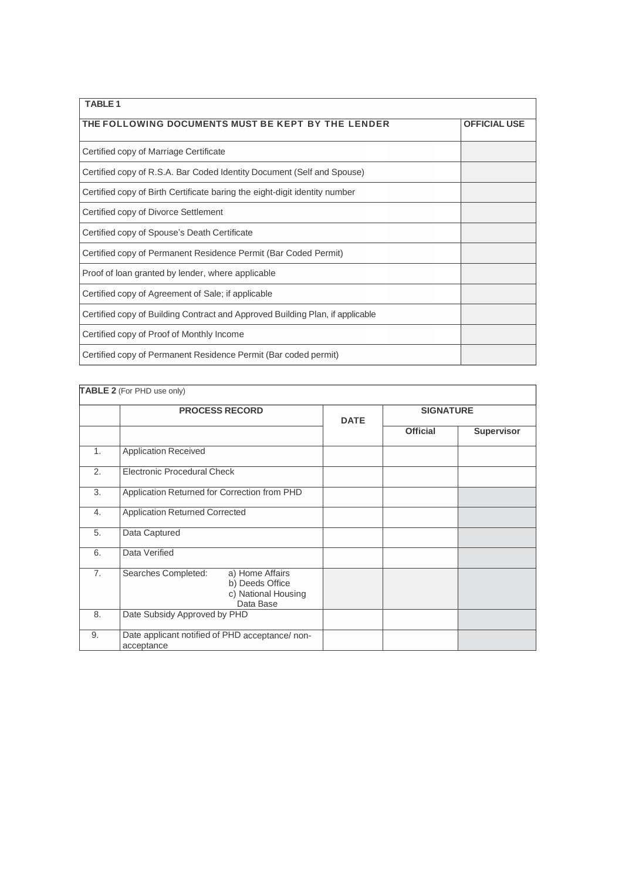| <b>TARIF1</b>                                                                 |  |  |  |  |  |  |
|-------------------------------------------------------------------------------|--|--|--|--|--|--|
| THE FOLLOWING DOCUMENTS MUST BE KEPT BY THE LENDER<br><b>OFFICIAL USE</b>     |  |  |  |  |  |  |
| Certified copy of Marriage Certificate                                        |  |  |  |  |  |  |
| Certified copy of R.S.A. Bar Coded Identity Document (Self and Spouse)        |  |  |  |  |  |  |
| Certified copy of Birth Certificate baring the eight-digit identity number    |  |  |  |  |  |  |
| Certified copy of Divorce Settlement                                          |  |  |  |  |  |  |
| Certified copy of Spouse's Death Certificate                                  |  |  |  |  |  |  |
| Certified copy of Permanent Residence Permit (Bar Coded Permit)               |  |  |  |  |  |  |
| Proof of loan granted by lender, where applicable                             |  |  |  |  |  |  |
| Certified copy of Agreement of Sale; if applicable                            |  |  |  |  |  |  |
| Certified copy of Building Contract and Approved Building Plan, if applicable |  |  |  |  |  |  |
| Certified copy of Proof of Monthly Income                                     |  |  |  |  |  |  |
| Certified copy of Permanent Residence Permit (Bar coded permit)               |  |  |  |  |  |  |

|    | TABLE 2 (For PHD use only)                                                                    |             |                  |            |  |  |
|----|-----------------------------------------------------------------------------------------------|-------------|------------------|------------|--|--|
|    | <b>PROCESS RECORD</b>                                                                         | <b>DATE</b> | <b>SIGNATURE</b> |            |  |  |
|    |                                                                                               |             | <b>Official</b>  | Supervisor |  |  |
| 1. | <b>Application Received</b>                                                                   |             |                  |            |  |  |
| 2. | Electronic Procedural Check                                                                   |             |                  |            |  |  |
| 3. | Application Returned for Correction from PHD                                                  |             |                  |            |  |  |
| 4. | <b>Application Returned Corrected</b>                                                         |             |                  |            |  |  |
| 5. | Data Captured                                                                                 |             |                  |            |  |  |
| 6. | Data Verified                                                                                 |             |                  |            |  |  |
| 7. | Searches Completed:<br>a) Home Affairs<br>b) Deeds Office<br>c) National Housing<br>Data Base |             |                  |            |  |  |
| 8. | Date Subsidy Approved by PHD                                                                  |             |                  |            |  |  |
| 9. | Date applicant notified of PHD acceptance/ non-<br>acceptance                                 |             |                  |            |  |  |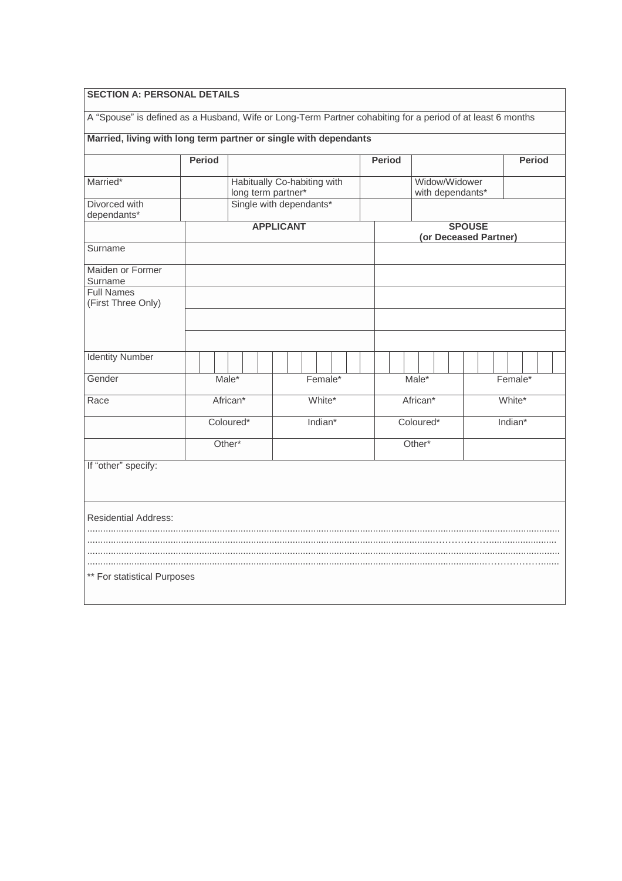| Married, living with long term partner or single with dependants |               |                    |                                                   |  |         |          |               |       |  |                                   |         |                       |               |  |
|------------------------------------------------------------------|---------------|--------------------|---------------------------------------------------|--|---------|----------|---------------|-------|--|-----------------------------------|---------|-----------------------|---------------|--|
|                                                                  | <b>Period</b> |                    |                                                   |  |         |          | <b>Period</b> |       |  |                                   |         |                       | <b>Period</b> |  |
| Married*                                                         |               |                    | Habitually Co-habiting with<br>long term partner* |  |         |          |               |       |  | Widow/Widower<br>with dependants* |         |                       |               |  |
| Divorced with                                                    |               |                    | Single with dependants*                           |  |         |          |               |       |  |                                   |         |                       |               |  |
| dependants*                                                      |               |                    | <b>APPLICANT</b>                                  |  |         |          |               |       |  | <b>SPOUSE</b>                     |         | (or Deceased Partner) |               |  |
| Surname                                                          |               |                    |                                                   |  |         |          |               |       |  |                                   |         |                       |               |  |
| Maiden or Former<br>Surname                                      |               |                    |                                                   |  |         |          |               |       |  |                                   |         |                       |               |  |
| <b>Full Names</b><br>(First Three Only)                          |               |                    |                                                   |  |         |          |               |       |  |                                   |         |                       |               |  |
|                                                                  |               |                    |                                                   |  |         |          |               |       |  |                                   |         |                       |               |  |
| <b>Identity Number</b>                                           |               |                    |                                                   |  |         |          |               |       |  |                                   |         |                       |               |  |
| Gender                                                           |               | $Male*$            |                                                   |  | Female* |          |               | Male* |  |                                   |         | Female*               |               |  |
| Race                                                             |               | African*<br>White* |                                                   |  |         | African* |               |       |  |                                   | White*  |                       |               |  |
|                                                                  |               | Coloured*          |                                                   |  | Indian* |          | Coloured*     |       |  |                                   | Indian* |                       |               |  |
|                                                                  |               | Other*             |                                                   |  |         | Other*   |               |       |  |                                   |         |                       |               |  |
| If "other" specify:                                              |               |                    |                                                   |  |         |          |               |       |  |                                   |         |                       |               |  |
|                                                                  |               |                    |                                                   |  |         |          |               |       |  |                                   |         |                       |               |  |
|                                                                  |               |                    |                                                   |  |         |          |               |       |  |                                   |         |                       |               |  |
| <b>Residential Address:</b>                                      |               |                    |                                                   |  |         |          |               |       |  |                                   |         |                       |               |  |
|                                                                  |               |                    |                                                   |  |         |          |               |       |  |                                   |         |                       |               |  |
|                                                                  |               |                    |                                                   |  |         |          |               |       |  |                                   |         |                       |               |  |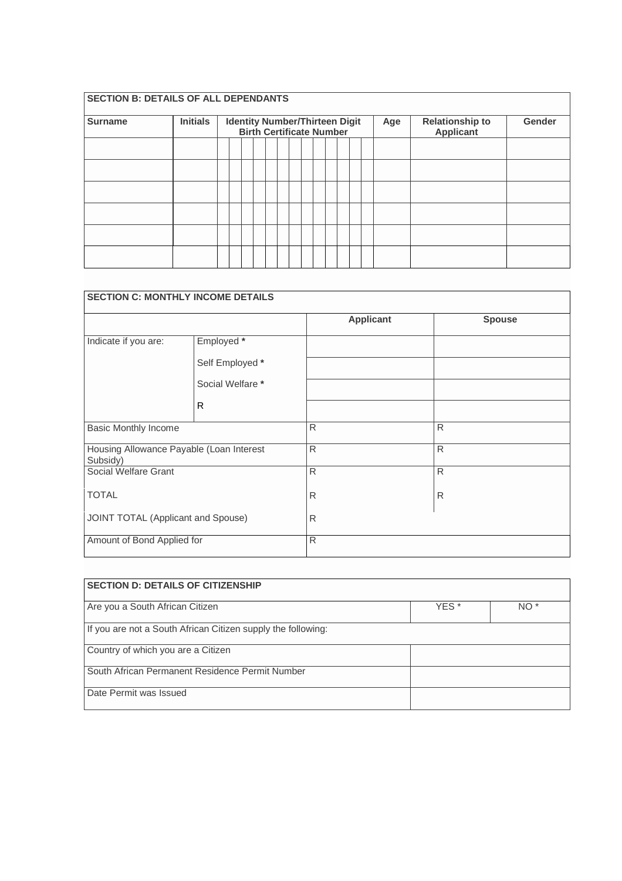### **SECTION B: DETAILS OF ALL DEPENDANTS**

| <b>Surname</b> | <b>Initials</b> | <b>Identity Number/Thirteen Digit</b><br><b>Birth Certificate Number</b> |  |  |  |  |  |  | Age | <b>Relationship to</b><br>Applicant | Gender |  |  |
|----------------|-----------------|--------------------------------------------------------------------------|--|--|--|--|--|--|-----|-------------------------------------|--------|--|--|
|                |                 |                                                                          |  |  |  |  |  |  |     |                                     |        |  |  |
|                |                 |                                                                          |  |  |  |  |  |  |     |                                     |        |  |  |
|                |                 |                                                                          |  |  |  |  |  |  |     |                                     |        |  |  |
|                |                 |                                                                          |  |  |  |  |  |  |     |                                     |        |  |  |
|                |                 |                                                                          |  |  |  |  |  |  |     |                                     |        |  |  |
|                |                 |                                                                          |  |  |  |  |  |  |     |                                     |        |  |  |

| <b>SECTION C: MONTHLY INCOME DETAILS</b>             |                  |                  |               |
|------------------------------------------------------|------------------|------------------|---------------|
|                                                      |                  | <b>Applicant</b> | <b>Spouse</b> |
| Indicate if you are:                                 | Employed *       |                  |               |
|                                                      | Self Employed *  |                  |               |
|                                                      | Social Welfare * |                  |               |
|                                                      | R                |                  |               |
| <b>Basic Monthly Income</b>                          |                  | $\mathsf{R}$     | $\mathsf{R}$  |
| Housing Allowance Payable (Loan Interest<br>Subsidy) |                  | $\mathsf{R}$     | $\mathsf{R}$  |
| Social Welfare Grant                                 |                  | $\mathsf{R}$     | $\mathsf{R}$  |
| <b>TOTAL</b>                                         |                  | $\mathsf{R}$     | $\mathsf{R}$  |
| JOINT TOTAL (Applicant and Spouse)                   |                  | R                |               |
| Amount of Bond Applied for                           |                  | R                |               |

| <b>SECTION D: DETAILS OF CITIZENSHIP</b>                      |  |  |  |  |  |  |  |
|---------------------------------------------------------------|--|--|--|--|--|--|--|
| Are you a South African Citizen<br>YES <sup>*</sup><br>$NO^*$ |  |  |  |  |  |  |  |
| If you are not a South African Citizen supply the following:  |  |  |  |  |  |  |  |
| Country of which you are a Citizen                            |  |  |  |  |  |  |  |
| South African Permanent Residence Permit Number               |  |  |  |  |  |  |  |
| Date Permit was Issued                                        |  |  |  |  |  |  |  |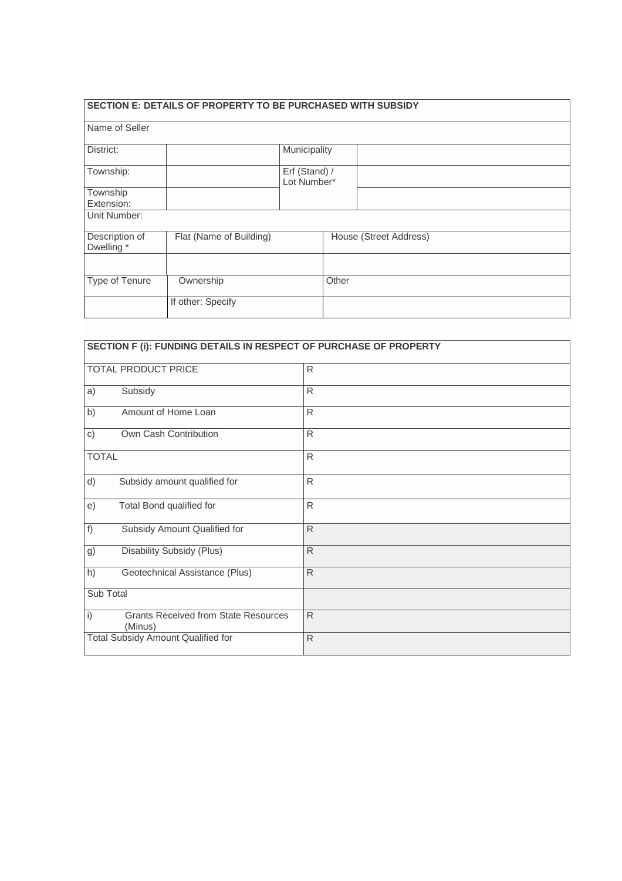|                              | SECTION E: DETAILS OF PROPERTY TO BE PURCHASED WITH SUBSIDY |                              |       |                        |
|------------------------------|-------------------------------------------------------------|------------------------------|-------|------------------------|
| Name of Seller               |                                                             |                              |       |                        |
| District:                    |                                                             | Municipality                 |       |                        |
| Township:                    |                                                             | Erf (Stand) /<br>Lot Number* |       |                        |
| Township<br>Extension:       |                                                             |                              |       |                        |
| Unit Number:                 |                                                             |                              |       |                        |
| Description of<br>Dwelling * | Flat (Name of Building)                                     |                              |       | House (Street Address) |
|                              |                                                             |                              |       |                        |
| Type of Tenure               | Ownership                                                   |                              | Other |                        |
|                              | If other: Specify                                           |                              |       |                        |

| SECTION F (i): FUNDING DETAILS IN RESPECT OF PURCHASE OF PROPERTY |              |
|-------------------------------------------------------------------|--------------|
| <b>TOTAL PRODUCT PRICE</b>                                        | $\mathsf{R}$ |
| Subsidy<br>a)                                                     | $\mathsf{R}$ |
| Amount of Home Loan<br>b)                                         | R            |
| Own Cash Contribution<br>c)                                       | R            |
| <b>TOTAL</b>                                                      | $\mathsf{R}$ |
| d)<br>Subsidy amount qualified for                                | $\mathsf{R}$ |
| Total Bond qualified for<br>e)                                    | $\mathsf{R}$ |
| f)<br>Subsidy Amount Qualified for                                | $\mathsf{R}$ |
| Disability Subsidy (Plus)<br>g)                                   | $\mathsf{R}$ |
| h)<br>Geotechnical Assistance (Plus)                              | R            |
| Sub Total                                                         |              |
| i)<br><b>Grants Received from State Resources</b><br>(Minus)      | $\mathsf{R}$ |
| Total Subsidy Amount Qualified for                                | $\mathsf{R}$ |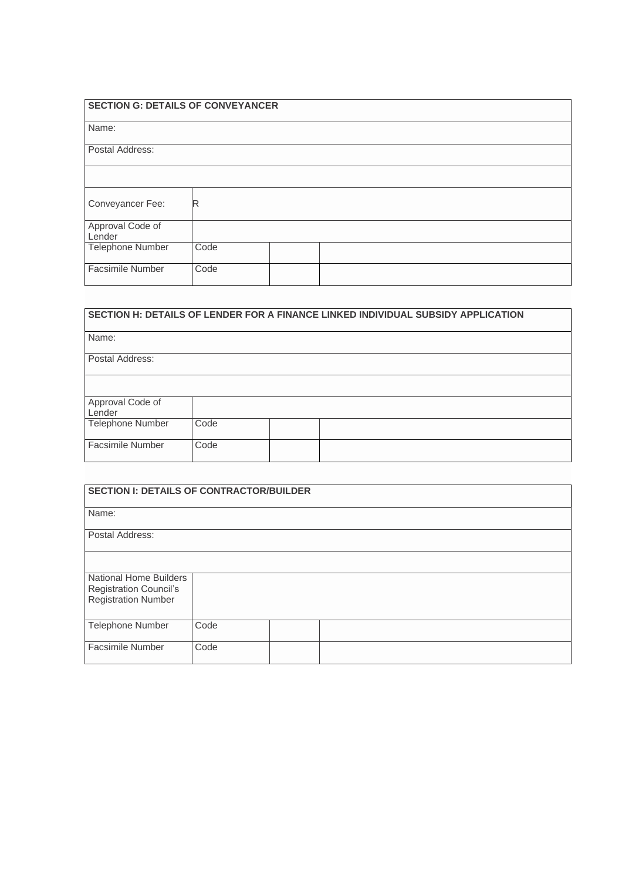| <b>SECTION G: DETAILS OF CONVEYANCER</b> |  |
|------------------------------------------|--|
|------------------------------------------|--|

| Name:                      |      |  |  |  |
|----------------------------|------|--|--|--|
| Postal Address:            |      |  |  |  |
|                            |      |  |  |  |
| Conveyancer Fee:           | IR   |  |  |  |
| Approval Code of<br>Lender |      |  |  |  |
| Telephone Number           | Code |  |  |  |
| <b>Facsimile Number</b>    | Code |  |  |  |
|                            |      |  |  |  |

| SECTION H: DETAILS OF LENDER FOR A FINANCE LINKED INDIVIDUAL SUBSIDY APPLICATION |      |  |  |  |  |  |
|----------------------------------------------------------------------------------|------|--|--|--|--|--|
| Name:                                                                            |      |  |  |  |  |  |
| Postal Address:                                                                  |      |  |  |  |  |  |
|                                                                                  |      |  |  |  |  |  |
| Approval Code of<br>Lender                                                       |      |  |  |  |  |  |
| <b>Telephone Number</b>                                                          | Code |  |  |  |  |  |
| Facsimile Number                                                                 | Code |  |  |  |  |  |

| <b>SECTION I: DETAILS OF CONTRACTOR/BUILDER</b>                                              |      |  |  |  |  |  |  |
|----------------------------------------------------------------------------------------------|------|--|--|--|--|--|--|
| Name:                                                                                        |      |  |  |  |  |  |  |
| Postal Address:                                                                              |      |  |  |  |  |  |  |
|                                                                                              |      |  |  |  |  |  |  |
| <b>National Home Builders</b><br><b>Registration Council's</b><br><b>Registration Number</b> |      |  |  |  |  |  |  |
|                                                                                              |      |  |  |  |  |  |  |
| Telephone Number                                                                             | Code |  |  |  |  |  |  |
| <b>Facsimile Number</b>                                                                      | Code |  |  |  |  |  |  |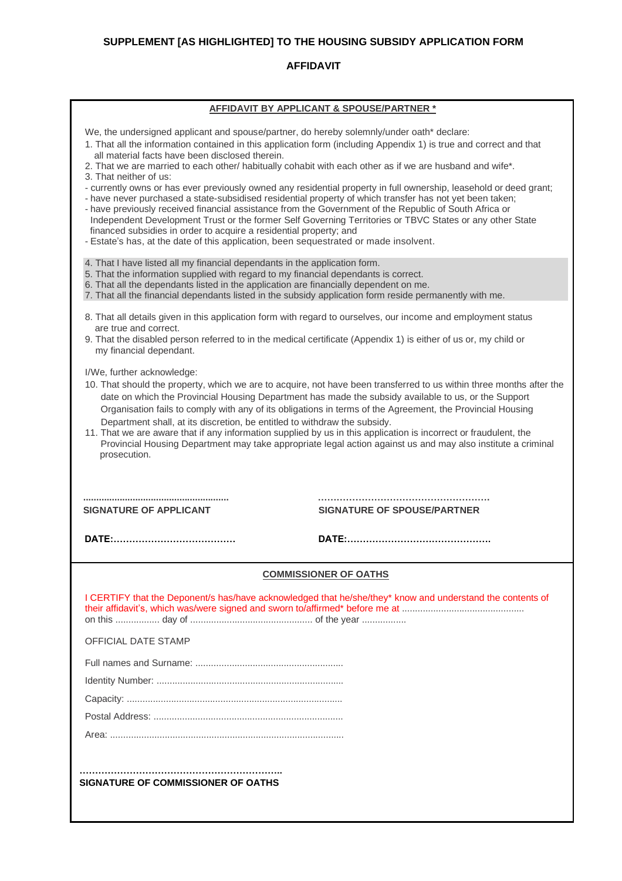### **SUPPLEMENT [AS HIGHLIGHTED] TO THE HOUSING SUBSIDY APPLICATION FORM**

#### **AFFIDAVIT**

| AFFIDAVIT BY APPLICANT & SPOUSE/PARTNER *                                                                                                                                                                                                                                                                                                                                                                                                                                                                                                                                                                                                                                                                                                                                                                                                                                                                                                                                                                                       |                                                                                                           |  |  |  |  |  |  |
|---------------------------------------------------------------------------------------------------------------------------------------------------------------------------------------------------------------------------------------------------------------------------------------------------------------------------------------------------------------------------------------------------------------------------------------------------------------------------------------------------------------------------------------------------------------------------------------------------------------------------------------------------------------------------------------------------------------------------------------------------------------------------------------------------------------------------------------------------------------------------------------------------------------------------------------------------------------------------------------------------------------------------------|-----------------------------------------------------------------------------------------------------------|--|--|--|--|--|--|
| We, the undersigned applicant and spouse/partner, do hereby solemnly/under oath* declare:<br>1. That all the information contained in this application form (including Appendix 1) is true and correct and that<br>all material facts have been disclosed therein.<br>2. That we are married to each other/ habitually cohabit with each other as if we are husband and wife*.<br>3. That neither of us:<br>- currently owns or has ever previously owned any residential property in full ownership, leasehold or deed grant;<br>- have never purchased a state-subsidised residential property of which transfer has not yet been taken;<br>- have previously received financial assistance from the Government of the Republic of South Africa or<br>Independent Development Trust or the former Self Governing Territories or TBVC States or any other State<br>financed subsidies in order to acquire a residential property; and<br>- Estate's has, at the date of this application, been sequestrated or made insolvent. |                                                                                                           |  |  |  |  |  |  |
| 4. That I have listed all my financial dependants in the application form.<br>5. That the information supplied with regard to my financial dependants is correct.<br>6. That all the dependants listed in the application are financially dependent on me.<br>7. That all the financial dependants listed in the subsidy application form reside permanently with me.                                                                                                                                                                                                                                                                                                                                                                                                                                                                                                                                                                                                                                                           |                                                                                                           |  |  |  |  |  |  |
| 8. That all details given in this application form with regard to ourselves, our income and employment status                                                                                                                                                                                                                                                                                                                                                                                                                                                                                                                                                                                                                                                                                                                                                                                                                                                                                                                   |                                                                                                           |  |  |  |  |  |  |
| are true and correct.<br>9. That the disabled person referred to in the medical certificate (Appendix 1) is either of us or, my child or<br>my financial dependant.                                                                                                                                                                                                                                                                                                                                                                                                                                                                                                                                                                                                                                                                                                                                                                                                                                                             |                                                                                                           |  |  |  |  |  |  |
| I/We, further acknowledge:<br>10. That should the property, which we are to acquire, not have been transferred to us within three months after the<br>date on which the Provincial Housing Department has made the subsidy available to us, or the Support<br>Organisation fails to comply with any of its obligations in terms of the Agreement, the Provincial Housing<br>Department shall, at its discretion, be entitled to withdraw the subsidy.<br>11. That we are aware that if any information supplied by us in this application is incorrect or fraudulent, the<br>Provincial Housing Department may take appropriate legal action against us and may also institute a criminal<br>prosecution.                                                                                                                                                                                                                                                                                                                       |                                                                                                           |  |  |  |  |  |  |
| <b>SIGNATURE OF APPLICANT</b>                                                                                                                                                                                                                                                                                                                                                                                                                                                                                                                                                                                                                                                                                                                                                                                                                                                                                                                                                                                                   | <b>SIGNATURE OF SPOUSE/PARTNER</b>                                                                        |  |  |  |  |  |  |
|                                                                                                                                                                                                                                                                                                                                                                                                                                                                                                                                                                                                                                                                                                                                                                                                                                                                                                                                                                                                                                 |                                                                                                           |  |  |  |  |  |  |
|                                                                                                                                                                                                                                                                                                                                                                                                                                                                                                                                                                                                                                                                                                                                                                                                                                                                                                                                                                                                                                 | <b>COMMISSIONER OF OATHS</b>                                                                              |  |  |  |  |  |  |
|                                                                                                                                                                                                                                                                                                                                                                                                                                                                                                                                                                                                                                                                                                                                                                                                                                                                                                                                                                                                                                 | I CERTIFY that the Deponent/s has/have acknowledged that he/she/they* know and understand the contents of |  |  |  |  |  |  |
| <b>OFFICIAL DATE STAMP</b>                                                                                                                                                                                                                                                                                                                                                                                                                                                                                                                                                                                                                                                                                                                                                                                                                                                                                                                                                                                                      |                                                                                                           |  |  |  |  |  |  |
|                                                                                                                                                                                                                                                                                                                                                                                                                                                                                                                                                                                                                                                                                                                                                                                                                                                                                                                                                                                                                                 |                                                                                                           |  |  |  |  |  |  |
|                                                                                                                                                                                                                                                                                                                                                                                                                                                                                                                                                                                                                                                                                                                                                                                                                                                                                                                                                                                                                                 |                                                                                                           |  |  |  |  |  |  |
|                                                                                                                                                                                                                                                                                                                                                                                                                                                                                                                                                                                                                                                                                                                                                                                                                                                                                                                                                                                                                                 |                                                                                                           |  |  |  |  |  |  |
|                                                                                                                                                                                                                                                                                                                                                                                                                                                                                                                                                                                                                                                                                                                                                                                                                                                                                                                                                                                                                                 |                                                                                                           |  |  |  |  |  |  |
|                                                                                                                                                                                                                                                                                                                                                                                                                                                                                                                                                                                                                                                                                                                                                                                                                                                                                                                                                                                                                                 |                                                                                                           |  |  |  |  |  |  |
|                                                                                                                                                                                                                                                                                                                                                                                                                                                                                                                                                                                                                                                                                                                                                                                                                                                                                                                                                                                                                                 |                                                                                                           |  |  |  |  |  |  |
| SIGNATURE OF COMMISSIONER OF OATHS                                                                                                                                                                                                                                                                                                                                                                                                                                                                                                                                                                                                                                                                                                                                                                                                                                                                                                                                                                                              |                                                                                                           |  |  |  |  |  |  |